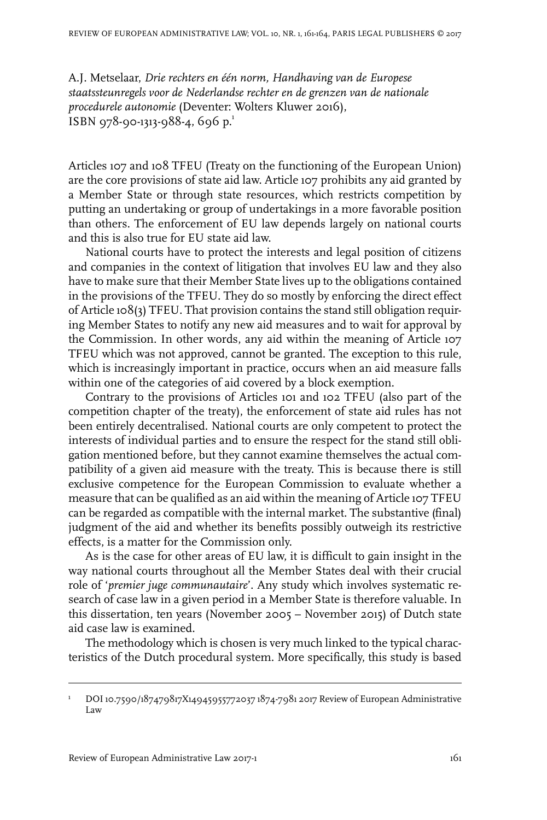A.J. Metselaar, *Drie rechters en één norm, Handhaving van de Europese staatssteunregels voor de Nederlandse rechter en de grenzen van de nationale procedurele autonomie* (Deventer: Wolters Kluwer 2016), ISBN 978-90-1313-988-4, 696 p.<sup>1</sup>

Articles 107 and 108 TFEU (Treaty on the functioning of the European Union) are the core provisions of state aid law. Article 107 prohibits any aid granted by a Member State or through state resources, which restricts competition by putting an undertaking or group of undertakings in a more favorable position than others. The enforcement of EU law depends largely on national courts and this is also true for EU state aid law.

National courts have to protect the interests and legal position of citizens and companies in the context of litigation that involves EU law and they also have to make sure that their Member State lives up to the obligations contained in the provisions of the TFEU. They do so mostly by enforcing the direct effect of Article 108(3) TFEU. That provision contains the stand still obligation requiring Member States to notify any new aid measures and to wait for approval by the Commission. In other words, any aid within the meaning of Article 107 TFEU which was not approved, cannot be granted. The exception to this rule, which is increasingly important in practice, occurs when an aid measure falls within one of the categories of aid covered by a block exemption.

Contrary to the provisions of Articles 101 and 102 TFEU (also part of the competition chapter of the treaty), the enforcement of state aid rules has not been entirely decentralised. National courts are only competent to protect the interests of individual parties and to ensure the respect for the stand still obligation mentioned before, but they cannot examine themselves the actual compatibility of a given aid measure with the treaty. This is because there is still exclusive competence for the European Commission to evaluate whether a measure that can be qualified as an aid within the meaning of Article 107 TFEU can be regarded as compatible with the internal market. The substantive (final) judgment of the aid and whether its benefits possibly outweigh its restrictive effects, is a matter for the Commission only.

As is the case for other areas of EU law, it is difficult to gain insight in the way national courts throughout all the Member States deal with their crucial role of '*premier juge communautaire*'. Any study which involves systematic research of case law in a given period in a Member State is therefore valuable. In this dissertation, ten years (November 2005 – November 2015) of Dutch state aid case law is examined.

The methodology which is chosen is very much linked to the typical characteristics of the Dutch procedural system. More specifically, this study is based

DOI10.7590/187479817X14945955772037 1874-7981 2017 Review of European Administrative Law 1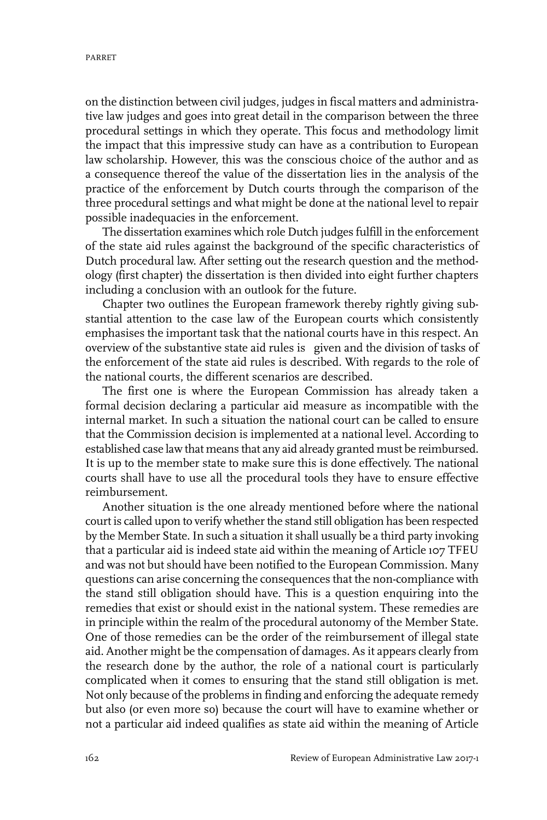on the distinction between civil judges, judges in fiscal matters and administrative law judges and goes into great detail in the comparison between the three procedural settings in which they operate. This focus and methodology limit the impact that this impressive study can have as a contribution to European law scholarship. However, this was the conscious choice of the author and as a consequence thereof the value of the dissertation lies in the analysis of the practice of the enforcement by Dutch courts through the comparison of the three procedural settings and what might be done at the national level to repair possible inadequacies in the enforcement.

The dissertation examines which role Dutch judges fulfill in the enforcement of the state aid rules against the background of the specific characteristics of Dutch procedural law. After setting out the research question and the methodology (first chapter) the dissertation is then divided into eight further chapters including a conclusion with an outlook for the future.

Chapter two outlines the European framework thereby rightly giving substantial attention to the case law of the European courts which consistently emphasises the important task that the national courts have in this respect. An overview of the substantive state aid rules is given and the division of tasks of the enforcement of the state aid rules is described. With regards to the role of the national courts, the different scenarios are described.

The first one is where the European Commission has already taken a formal decision declaring a particular aid measure as incompatible with the internal market. In such a situation the national court can be called to ensure that the Commission decision is implemented at a national level. According to established case law that means that any aid already granted must be reimbursed. It is up to the member state to make sure this is done effectively. The national courts shall have to use all the procedural tools they have to ensure effective reimbursement.

Another situation is the one already mentioned before where the national court is called upon to verify whether the stand still obligation has been respected by the Member State. In such a situation it shall usually be a third party invoking that a particular aid is indeed state aid within the meaning of Article 107 TFEU and was not but should have been notified to the European Commission. Many questions can arise concerning the consequences that the non-compliance with the stand still obligation should have. This is a question enquiring into the remedies that exist or should exist in the national system. These remedies are in principle within the realm of the procedural autonomy of the Member State. One of those remedies can be the order of the reimbursement of illegal state aid. Another might be the compensation of damages. As it appears clearly from the research done by the author, the role of a national court is particularly complicated when it comes to ensuring that the stand still obligation is met. Not only because of the problems in finding and enforcing the adequate remedy but also (or even more so) because the court will have to examine whether or not a particular aid indeed qualifies as state aid within the meaning of Article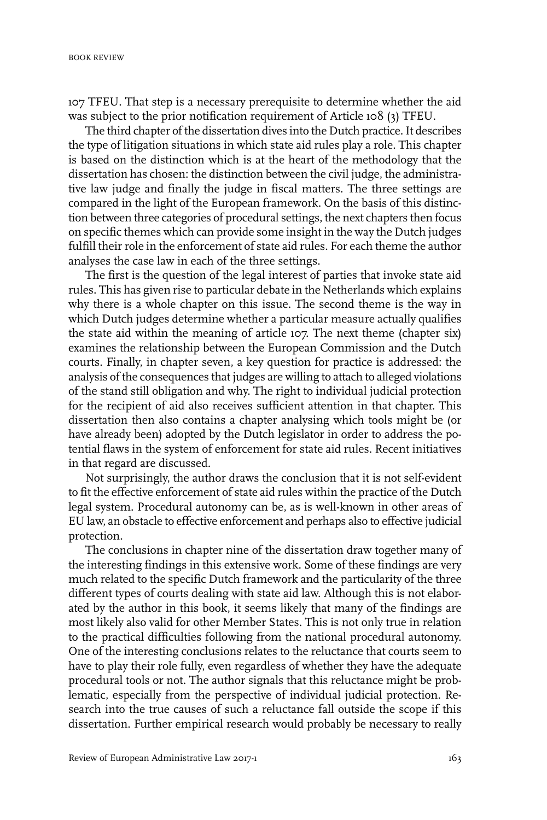107 TFEU. That step is a necessary prerequisite to determine whether the aid was subject to the prior notification requirement of Article 108 (3) TFEU.

The third chapter of the dissertation dives into the Dutch practice.It describes the type of litigation situations in which state aid rules play a role. This chapter is based on the distinction which is at the heart of the methodology that the dissertation has chosen: the distinction between the civil judge, the administrative law judge and finally the judge in fiscal matters. The three settings are compared in the light of the European framework. On the basis of this distinction between three categories of procedural settings, the next chapters then focus on specific themes which can provide some insight in the way the Dutch judges fulfill their role in the enforcement of state aid rules. For each theme the author analyses the case law in each of the three settings.

The first is the question of the legal interest of parties that invoke state aid rules. This has given rise to particular debate in the Netherlands which explains why there is a whole chapter on this issue. The second theme is the way in which Dutch judges determine whether a particular measure actually qualifies the state aid within the meaning of article 107. The next theme (chapter six) examines the relationship between the European Commission and the Dutch courts. Finally, in chapter seven, a key question for practice is addressed: the analysis of the consequences that judges are willing to attach to alleged violations of the stand still obligation and why. The right to individual judicial protection for the recipient of aid also receives sufficient attention in that chapter. This dissertation then also contains a chapter analysing which tools might be (or have already been) adopted by the Dutch legislator in order to address the potential flaws in the system of enforcement for state aid rules. Recent initiatives in that regard are discussed.

Not surprisingly, the author draws the conclusion that it is not self-evident to fit the effective enforcement of state aid rules within the practice of the Dutch legal system. Procedural autonomy can be, as is well-known in other areas of EU law, an obstacle to effective enforcement and perhaps also to effective judicial protection.

The conclusions in chapter nine of the dissertation draw together many of the interesting findings in this extensive work. Some of these findings are very much related to the specific Dutch framework and the particularity of the three different types of courts dealing with state aid law. Although this is not elaborated by the author in this book, it seems likely that many of the findings are most likely also valid for other Member States. This is not only true in relation to the practical difficulties following from the national procedural autonomy. One of the interesting conclusions relates to the reluctance that courts seem to have to play their role fully, even regardless of whether they have the adequate procedural tools or not. The author signals that this reluctance might be problematic, especially from the perspective of individual judicial protection. Research into the true causes of such a reluctance fall outside the scope if this dissertation. Further empirical research would probably be necessary to really